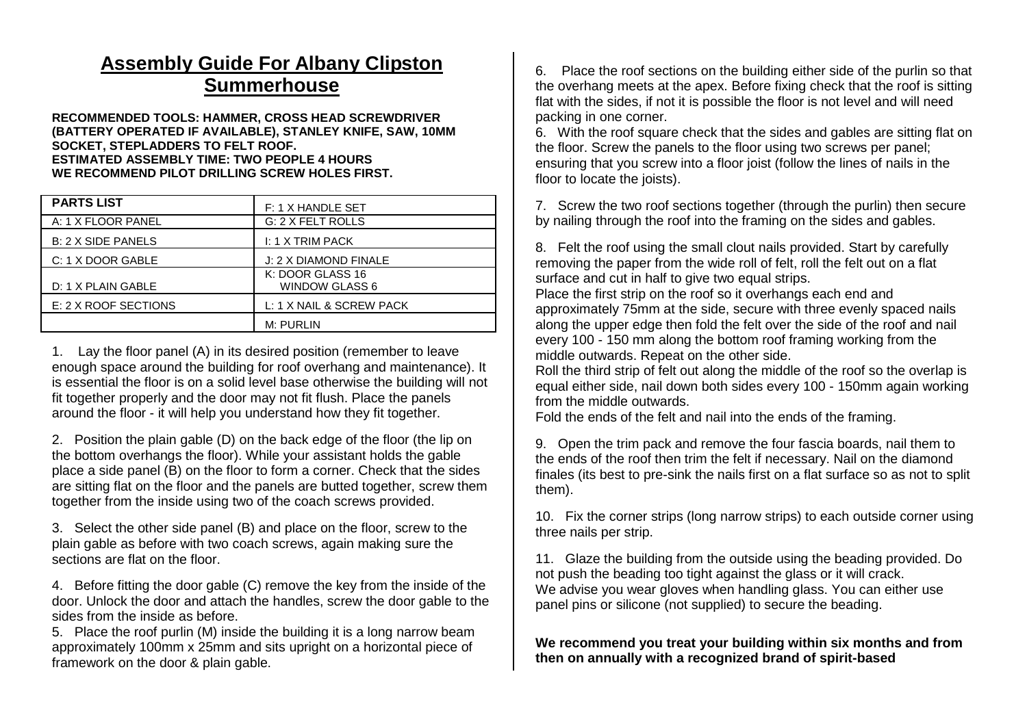## **Assembly Guide For Albany Clipston Summerhouse**

**RECOMMENDED TOOLS: HAMMER, CROSS HEAD SCREWDRIVER (BATTERY OPERATED IF AVAILABLE), STANLEY KNIFE, SAW, 10MM SOCKET, STEPLADDERS TO FELT ROOF. ESTIMATED ASSEMBLY TIME: TWO PEOPLE 4 HOURS WE RECOMMEND PILOT DRILLING SCREW HOLES FIRST.**

| <b>PARTS LIST</b>    | F: 1 X HANDLE SET                         |
|----------------------|-------------------------------------------|
| A: 1 X FLOOR PANEL   | G: 2 X FELT ROLLS                         |
| B: 2 X SIDE PANELS   | I: 1 X TRIM PACK                          |
| C: 1 X DOOR GABLE    | J: 2 X DIAMOND FINALE                     |
| D: 1 X PLAIN GABLE   | K: DOOR GLASS 16<br><b>WINDOW GLASS 6</b> |
| E: 2 X ROOF SECTIONS | L: 1 X NAIL & SCREW PACK                  |
|                      | M: PURLIN                                 |

1. Lay the floor panel (A) in its desired position (remember to leave enough space around the building for roof overhang and maintenance). It is essential the floor is on a solid level base otherwise the building will not fit together properly and the door may not fit flush. Place the panels around the floor - it will help you understand how they fit together.

2. Position the plain gable (D) on the back edge of the floor (the lip on the bottom overhangs the floor). While your assistant holds the gable place a side panel (B) on the floor to form a corner. Check that the sides are sitting flat on the floor and the panels are butted together, screw them together from the inside using two of the coach screws provided.

3. Select the other side panel (B) and place on the floor, screw to the plain gable as before with two coach screws, again making sure the sections are flat on the floor.

4. Before fitting the door gable (C) remove the key from the inside of the door. Unlock the door and attach the handles, screw the door gable to the sides from the inside as before.

5. Place the roof purlin (M) inside the building it is a long narrow beam approximately 100mm x 25mm and sits upright on a horizontal piece of framework on the door & plain gable.

6. Place the roof sections on the building either side of the purlin so that the overhang meets at the apex. Before fixing check that the roof is sitting flat with the sides, if not it is possible the floor is not level and will need packing in one corner.

6. With the roof square check that the sides and gables are sitting flat on the floor. Screw the panels to the floor using two screws per panel; ensuring that you screw into a floor joist (follow the lines of nails in the floor to locate the joists).

7. Screw the two roof sections together (through the purlin) then secure by nailing through the roof into the framing on the sides and gables.

8. Felt the roof using the small clout nails provided. Start by carefully removing the paper from the wide roll of felt, roll the felt out on a flat surface and cut in half to give two equal strips.

Place the first strip on the roof so it overhangs each end and approximately 75mm at the side, secure with three evenly spaced nails along the upper edge then fold the felt over the side of the roof and nail every 100 - 150 mm along the bottom roof framing working from the middle outwards. Repeat on the other side.

Roll the third strip of felt out along the middle of the roof so the overlap is equal either side, nail down both sides every 100 - 150mm again working from the middle outwards.

Fold the ends of the felt and nail into the ends of the framing.

9. Open the trim pack and remove the four fascia boards, nail them to the ends of the roof then trim the felt if necessary. Nail on the diamond finales (its best to pre-sink the nails first on a flat surface so as not to split them).

10. Fix the corner strips (long narrow strips) to each outside corner using three nails per strip.

11. Glaze the building from the outside using the beading provided. Do not push the beading too tight against the glass or it will crack. We advise you wear gloves when handling glass. You can either use panel pins or silicone (not supplied) to secure the beading.

## **We recommend you treat your building within six months and from then on annually with a recognized brand of spirit-based**